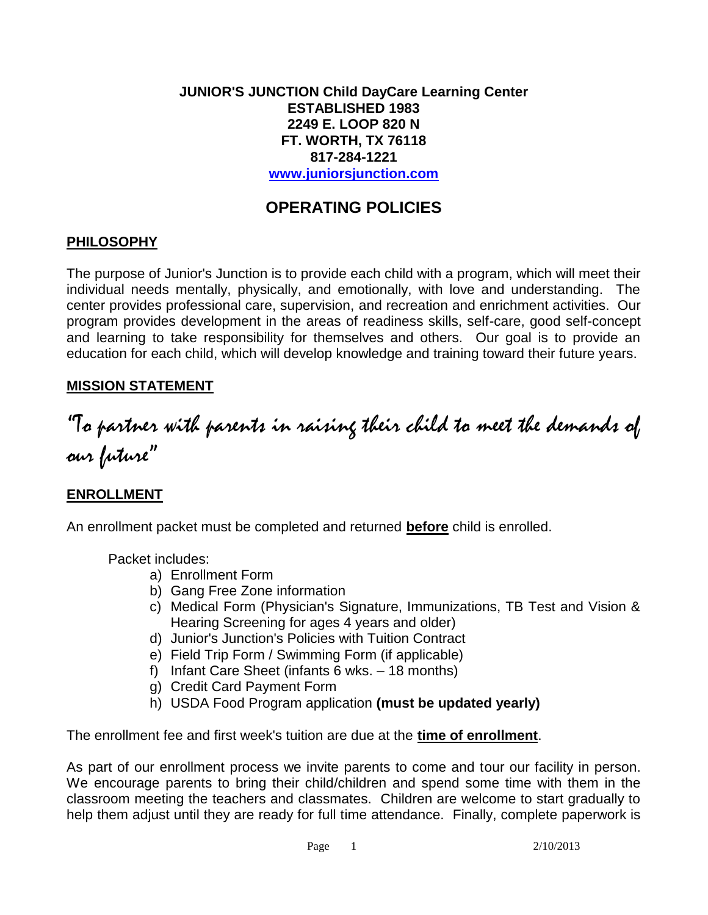#### **JUNIOR'S JUNCTION Child DayCare Learning Center ESTABLISHED 1983 2249 E. LOOP 820 N FT. WORTH, TX 76118 817-284-1221 <www.juniorsjunction.com>**

## **OPERATING POLICIES**

#### **PHILOSOPHY**

The purpose of Junior's Junction is to provide each child with a program, which will meet their individual needs mentally, physically, and emotionally, with love and understanding. The center provides professional care, supervision, and recreation and enrichment activities. Our program provides development in the areas of readiness skills, self-care, good self-concept and learning to take responsibility for themselves and others. Our goal is to provide an education for each child, which will develop knowledge and training toward their future years.

#### **MISSION STATEMENT**

# "To partner with parents in raising their child to meet the demands of our future"

#### **ENROLLMENT**

An enrollment packet must be completed and returned **before** child is enrolled.

Packet includes:

- a) Enrollment Form
- b) Gang Free Zone information
- c) Medical Form (Physician's Signature, Immunizations, TB Test and Vision & Hearing Screening for ages 4 years and older)
- d) Junior's Junction's Policies with Tuition Contract
- e) Field Trip Form / Swimming Form (if applicable)
- f) Infant Care Sheet (infants 6 wks. 18 months)
- g) Credit Card Payment Form
- h) USDA Food Program application **(must be updated yearly)**

The enrollment fee and first week's tuition are due at the **time of enrollment**.

As part of our enrollment process we invite parents to come and tour our facility in person. We encourage parents to bring their child/children and spend some time with them in the classroom meeting the teachers and classmates. Children are welcome to start gradually to help them adjust until they are ready for full time attendance. Finally, complete paperwork is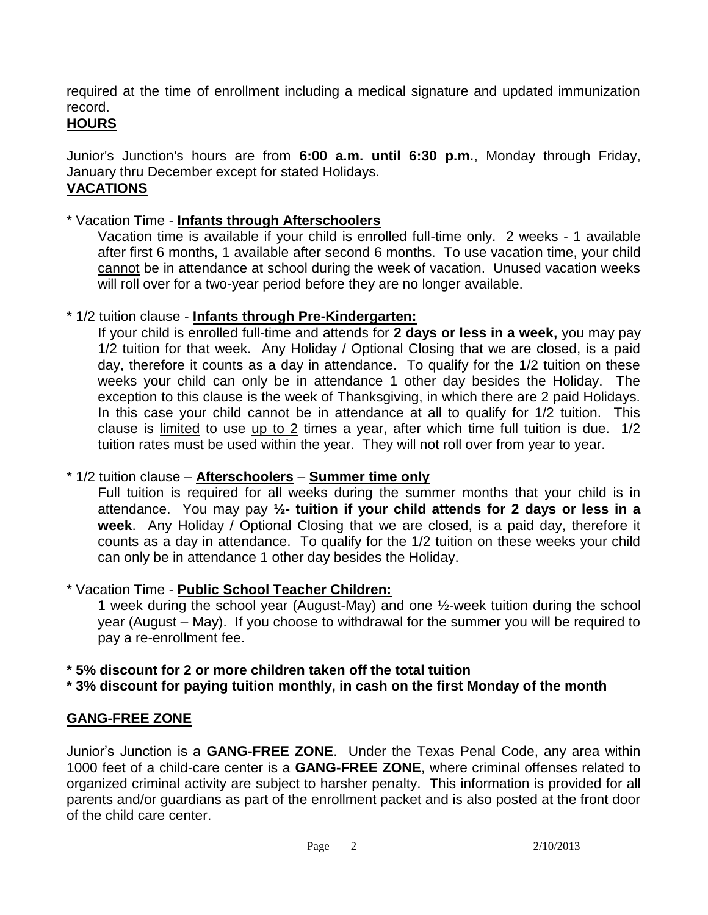required at the time of enrollment including a medical signature and updated immunization record.

## **HOURS**

Junior's Junction's hours are from **6:00 a.m. until 6:30 p.m.**, Monday through Friday, January thru December except for stated Holidays.

## **VACATIONS**

## \* Vacation Time - **Infants through Afterschoolers**

Vacation time is available if your child is enrolled full-time only. 2 weeks - 1 available after first 6 months, 1 available after second 6 months. To use vacation time, your child cannot be in attendance at school during the week of vacation. Unused vacation weeks will roll over for a two-year period before they are no longer available.

## \* 1/2 tuition clause - **Infants through Pre-Kindergarten:**

If your child is enrolled full-time and attends for **2 days or less in a week,** you may pay 1/2 tuition for that week. Any Holiday / Optional Closing that we are closed, is a paid day, therefore it counts as a day in attendance. To qualify for the 1/2 tuition on these weeks your child can only be in attendance 1 other day besides the Holiday. The exception to this clause is the week of Thanksgiving, in which there are 2 paid Holidays. In this case your child cannot be in attendance at all to qualify for 1/2 tuition. This clause is limited to use up to 2 times a year, after which time full tuition is due. 1/2 tuition rates must be used within the year. They will not roll over from year to year.

#### \* 1/2 tuition clause – **Afterschoolers** – **Summer time only**

Full tuition is required for all weeks during the summer months that your child is in attendance. You may pay **½- tuition if your child attends for 2 days or less in a week**. Any Holiday / Optional Closing that we are closed, is a paid day, therefore it counts as a day in attendance. To qualify for the 1/2 tuition on these weeks your child can only be in attendance 1 other day besides the Holiday.

## \* Vacation Time - **Public School Teacher Children:**

1 week during the school year (August-May) and one ½-week tuition during the school year (August – May). If you choose to withdrawal for the summer you will be required to pay a re-enrollment fee.

**\* 5% discount for 2 or more children taken off the total tuition**

## **\* 3% discount for paying tuition monthly, in cash on the first Monday of the month**

## **GANG-FREE ZONE**

Junior's Junction is a **GANG-FREE ZONE**. Under the Texas Penal Code, any area within 1000 feet of a child-care center is a **GANG-FREE ZONE**, where criminal offenses related to organized criminal activity are subject to harsher penalty. This information is provided for all parents and/or guardians as part of the enrollment packet and is also posted at the front door of the child care center.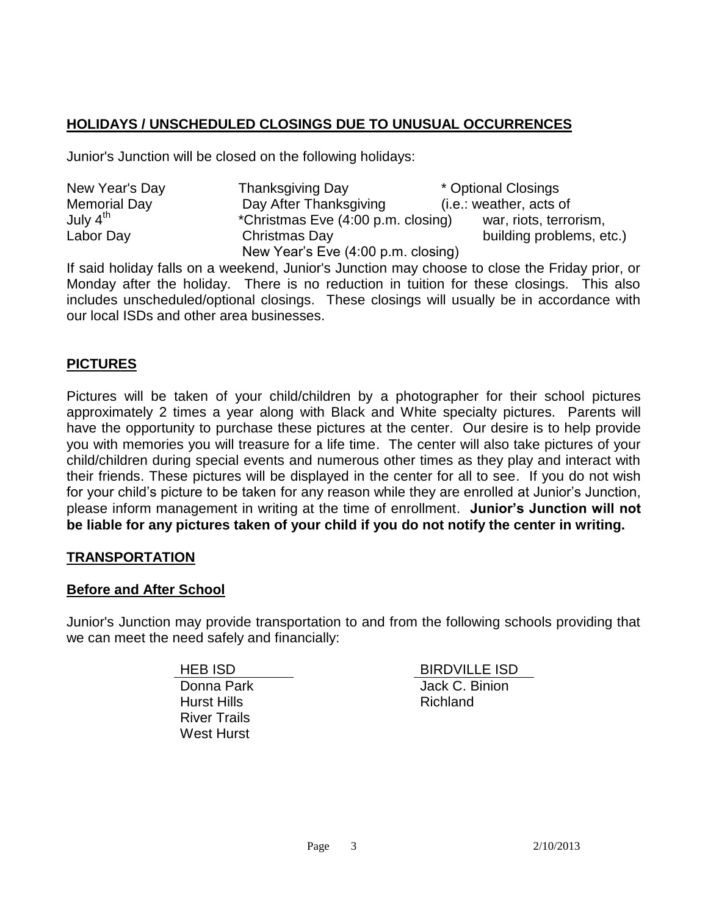## **HOLIDAYS / UNSCHEDULED CLOSINGS DUE TO UNUSUAL OCCURRENCES**

Junior's Junction will be closed on the following holidays:

| New Year's Day       | <b>Thanksgiving Day</b>            | * Optional Closings      |
|----------------------|------------------------------------|--------------------------|
| Memorial Day         | Day After Thanksgiving             | (i.e.: weather, acts of  |
| July $4^{\text{th}}$ | *Christmas Eve (4:00 p.m. closing) | war, riots, terrorism,   |
| Labor Day            | Christmas Day                      | building problems, etc.) |
|                      | New Year's Eve (4:00 p.m. closing) |                          |

If said holiday falls on a weekend, Junior's Junction may choose to close the Friday prior, or Monday after the holiday. There is no reduction in tuition for these closings. This also includes unscheduled/optional closings. These closings will usually be in accordance with our local ISDs and other area businesses.

## **PICTURES**

Pictures will be taken of your child/children by a photographer for their school pictures approximately 2 times a year along with Black and White specialty pictures. Parents will have the opportunity to purchase these pictures at the center. Our desire is to help provide you with memories you will treasure for a life time. The center will also take pictures of your child/children during special events and numerous other times as they play and interact with their friends. These pictures will be displayed in the center for all to see. If you do not wish for your child's picture to be taken for any reason while they are enrolled at Junior's Junction, please inform management in writing at the time of enrollment. **Junior's Junction will not be liable for any pictures taken of your child if you do not notify the center in writing.**

#### **TRANSPORTATION**

#### **Before and After School**

Junior's Junction may provide transportation to and from the following schools providing that we can meet the need safely and financially:

> Hurst Hills **Richland** River Trails West Hurst

HEB ISD BIRDVILLE ISD Donna Park **Donna Park** Jack C. Binion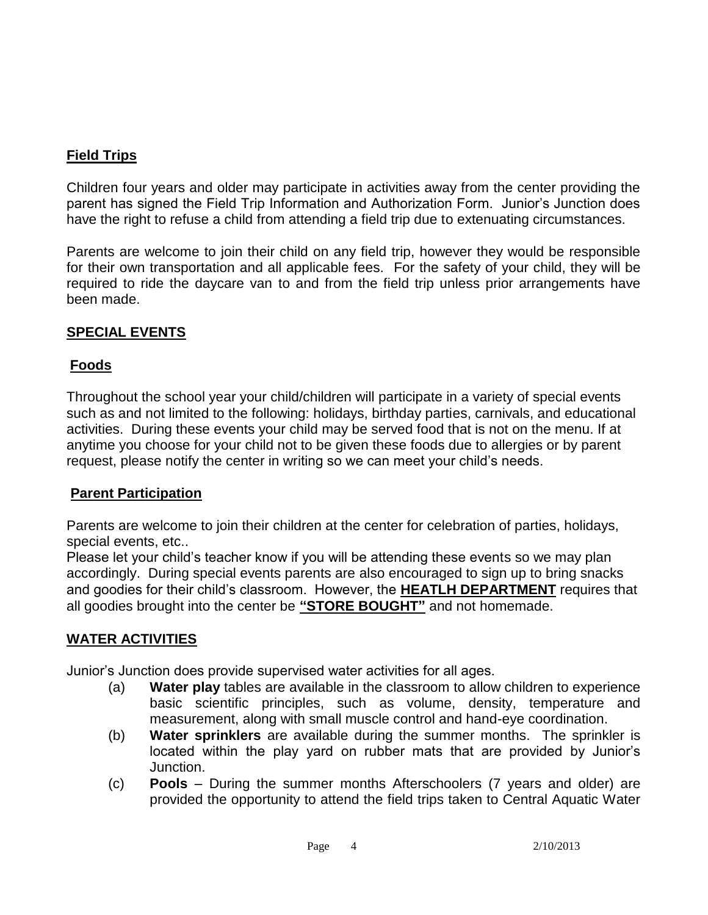## **Field Trips**

Children four years and older may participate in activities away from the center providing the parent has signed the Field Trip Information and Authorization Form. Junior's Junction does have the right to refuse a child from attending a field trip due to extenuating circumstances.

Parents are welcome to join their child on any field trip, however they would be responsible for their own transportation and all applicable fees. For the safety of your child, they will be required to ride the daycare van to and from the field trip unless prior arrangements have been made.

## **SPECIAL EVENTS**

## **Foods**

Throughout the school year your child/children will participate in a variety of special events such as and not limited to the following: holidays, birthday parties, carnivals, and educational activities. During these events your child may be served food that is not on the menu. If at anytime you choose for your child not to be given these foods due to allergies or by parent request, please notify the center in writing so we can meet your child's needs.

#### **Parent Participation**

Parents are welcome to join their children at the center for celebration of parties, holidays, special events, etc..

Please let your child's teacher know if you will be attending these events so we may plan accordingly. During special events parents are also encouraged to sign up to bring snacks and goodies for their child's classroom. However, the **HEATLH DEPARTMENT** requires that all goodies brought into the center be **"STORE BOUGHT"** and not homemade.

#### **WATER ACTIVITIES**

Junior's Junction does provide supervised water activities for all ages.

- (a) **Water play** tables are available in the classroom to allow children to experience basic scientific principles, such as volume, density, temperature and measurement, along with small muscle control and hand-eye coordination.
- (b) **Water sprinklers** are available during the summer months. The sprinkler is located within the play yard on rubber mats that are provided by Junior's Junction.
- (c) **Pools** During the summer months Afterschoolers (7 years and older) are provided the opportunity to attend the field trips taken to Central Aquatic Water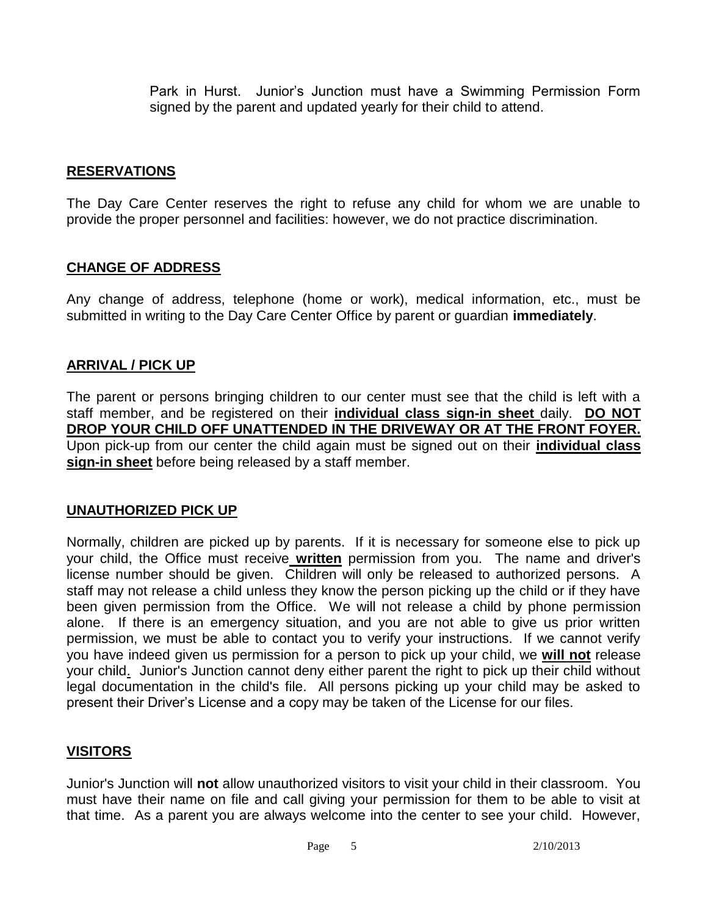Park in Hurst. Junior's Junction must have a Swimming Permission Form signed by the parent and updated yearly for their child to attend.

#### **RESERVATIONS**

The Day Care Center reserves the right to refuse any child for whom we are unable to provide the proper personnel and facilities: however, we do not practice discrimination.

#### **CHANGE OF ADDRESS**

Any change of address, telephone (home or work), medical information, etc., must be submitted in writing to the Day Care Center Office by parent or guardian **immediately**.

#### **ARRIVAL / PICK UP**

The parent or persons bringing children to our center must see that the child is left with a staff member, and be registered on their **individual class sign-in sheet** daily. **DO NOT DROP YOUR CHILD OFF UNATTENDED IN THE DRIVEWAY OR AT THE FRONT FOYER.** Upon pick-up from our center the child again must be signed out on their **individual class sign-in sheet** before being released by a staff member.

#### **UNAUTHORIZED PICK UP**

Normally, children are picked up by parents. If it is necessary for someone else to pick up your child, the Office must receive **written** permission from you. The name and driver's license number should be given. Children will only be released to authorized persons. A staff may not release a child unless they know the person picking up the child or if they have been given permission from the Office. We will not release a child by phone permission alone. If there is an emergency situation, and you are not able to give us prior written permission, we must be able to contact you to verify your instructions. If we cannot verify you have indeed given us permission for a person to pick up your child, we **will not** release your child. Junior's Junction cannot deny either parent the right to pick up their child without legal documentation in the child's file. All persons picking up your child may be asked to present their Driver's License and a copy may be taken of the License for our files.

#### **VISITORS**

Junior's Junction will **not** allow unauthorized visitors to visit your child in their classroom. You must have their name on file and call giving your permission for them to be able to visit at that time. As a parent you are always welcome into the center to see your child. However,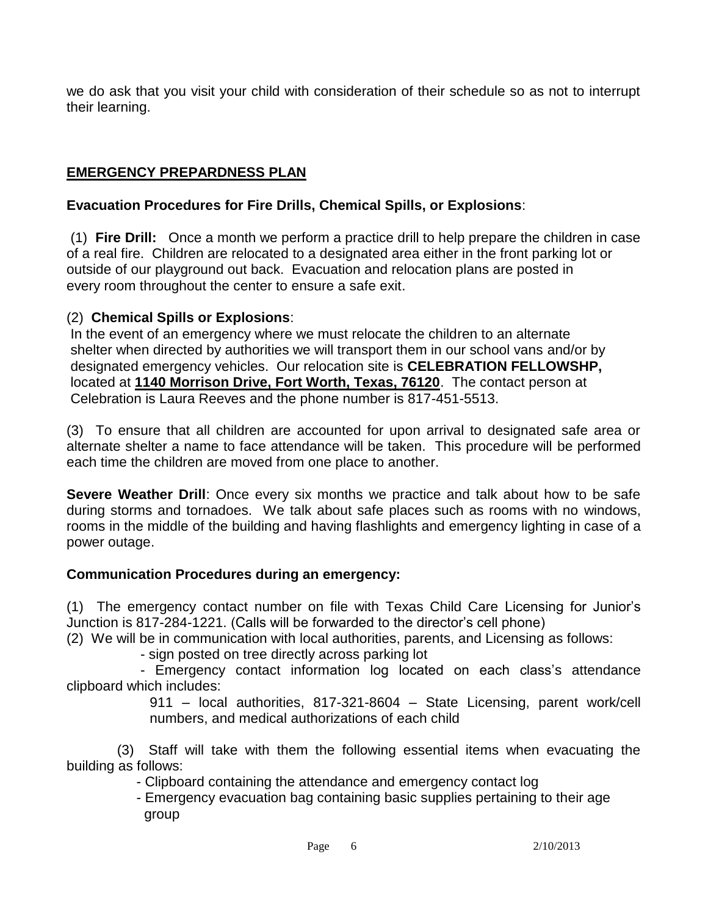we do ask that you visit your child with consideration of their schedule so as not to interrupt their learning.

## **EMERGENCY PREPARDNESS PLAN**

#### **Evacuation Procedures for Fire Drills, Chemical Spills, or Explosions**:

(1) **Fire Drill:** Once a month we perform a practice drill to help prepare the children in case of a real fire. Children are relocated to a designated area either in the front parking lot or outside of our playground out back. Evacuation and relocation plans are posted in every room throughout the center to ensure a safe exit.

#### (2) **Chemical Spills or Explosions**:

In the event of an emergency where we must relocate the children to an alternate shelter when directed by authorities we will transport them in our school vans and/or by designated emergency vehicles. Our relocation site is **CELEBRATION FELLOWSHP,** located at **1140 Morrison Drive, Fort Worth, Texas, 76120**. The contact person at Celebration is Laura Reeves and the phone number is 817-451-5513.

(3) To ensure that all children are accounted for upon arrival to designated safe area or alternate shelter a name to face attendance will be taken. This procedure will be performed each time the children are moved from one place to another.

**Severe Weather Drill:** Once every six months we practice and talk about how to be safe during storms and tornadoes. We talk about safe places such as rooms with no windows, rooms in the middle of the building and having flashlights and emergency lighting in case of a power outage.

#### **Communication Procedures during an emergency:**

(1) The emergency contact number on file with Texas Child Care Licensing for Junior's Junction is 817-284-1221. (Calls will be forwarded to the director's cell phone)

(2) We will be in communication with local authorities, parents, and Licensing as follows:

- sign posted on tree directly across parking lot

 - Emergency contact information log located on each class's attendance clipboard which includes:

911 – local authorities, 817-321-8604 – State Licensing, parent work/cell numbers, and medical authorizations of each child

 (3) Staff will take with them the following essential items when evacuating the building as follows:

- Clipboard containing the attendance and emergency contact log

 - Emergency evacuation bag containing basic supplies pertaining to their age group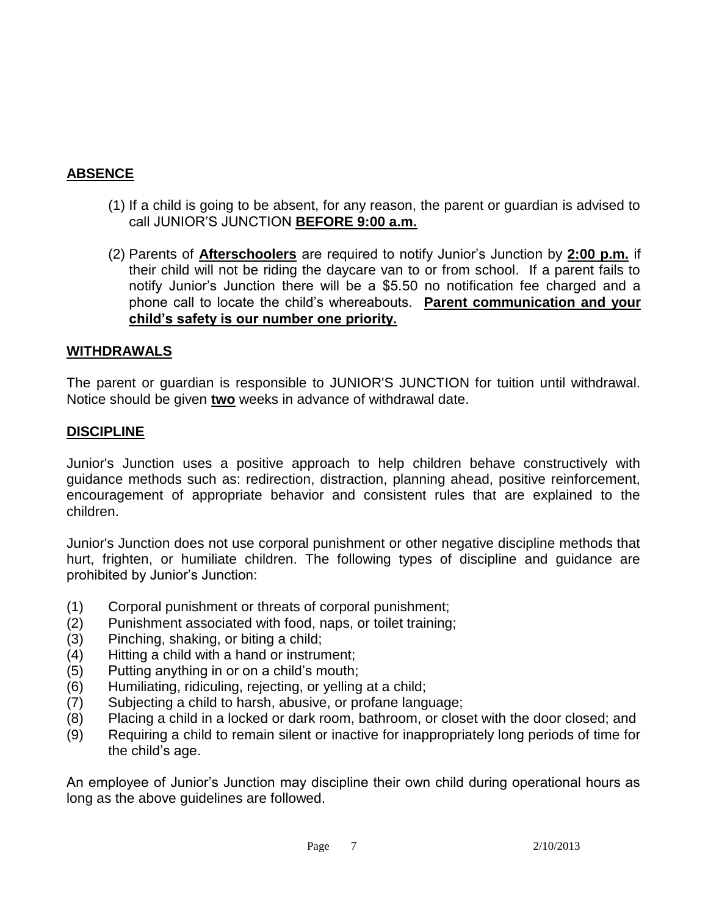#### **ABSENCE**

- (1) If a child is going to be absent, for any reason, the parent or guardian is advised to call JUNIOR'S JUNCTION **BEFORE 9:00 a.m.**
- (2) Parents of **Afterschoolers** are required to notify Junior's Junction by **2:00 p.m.** if their child will not be riding the daycare van to or from school. If a parent fails to notify Junior's Junction there will be a \$5.50 no notification fee charged and a phone call to locate the child's whereabouts. **Parent communication and your child's safety is our number one priority.**

#### **WITHDRAWALS**

The parent or guardian is responsible to JUNIOR'S JUNCTION for tuition until withdrawal. Notice should be given **two** weeks in advance of withdrawal date.

#### **DISCIPLINE**

Junior's Junction uses a positive approach to help children behave constructively with guidance methods such as: redirection, distraction, planning ahead, positive reinforcement, encouragement of appropriate behavior and consistent rules that are explained to the children.

Junior's Junction does not use corporal punishment or other negative discipline methods that hurt, frighten, or humiliate children. The following types of discipline and guidance are prohibited by Junior's Junction:

- (1) Corporal punishment or threats of corporal punishment;
- (2) Punishment associated with food, naps, or toilet training;
- (3) Pinching, shaking, or biting a child;
- (4) Hitting a child with a hand or instrument;
- (5) Putting anything in or on a child's mouth;
- (6) Humiliating, ridiculing, rejecting, or yelling at a child;
- (7) Subjecting a child to harsh, abusive, or profane language;
- (8) Placing a child in a locked or dark room, bathroom, or closet with the door closed; and
- (9) Requiring a child to remain silent or inactive for inappropriately long periods of time for the child's age.

An employee of Junior's Junction may discipline their own child during operational hours as long as the above guidelines are followed.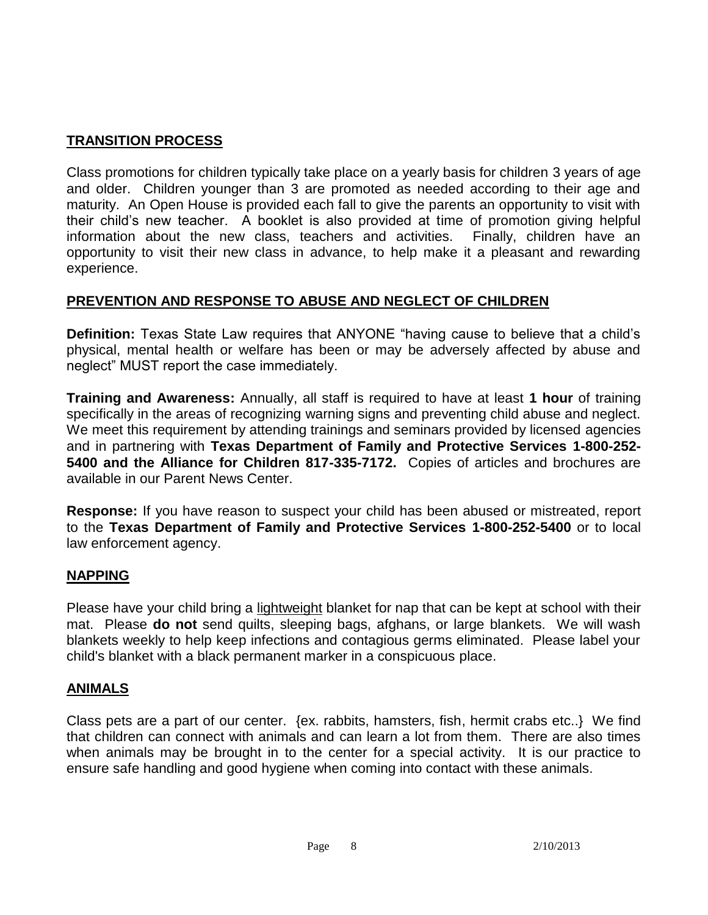## **TRANSITION PROCESS**

Class promotions for children typically take place on a yearly basis for children 3 years of age and older. Children younger than 3 are promoted as needed according to their age and maturity. An Open House is provided each fall to give the parents an opportunity to visit with their child's new teacher. A booklet is also provided at time of promotion giving helpful information about the new class, teachers and activities. Finally, children have an opportunity to visit their new class in advance, to help make it a pleasant and rewarding experience.

#### **PREVENTION AND RESPONSE TO ABUSE AND NEGLECT OF CHILDREN**

**Definition:** Texas State Law requires that ANYONE "having cause to believe that a child's physical, mental health or welfare has been or may be adversely affected by abuse and neglect" MUST report the case immediately.

**Training and Awareness:** Annually, all staff is required to have at least **1 hour** of training specifically in the areas of recognizing warning signs and preventing child abuse and neglect. We meet this requirement by attending trainings and seminars provided by licensed agencies and in partnering with **Texas Department of Family and Protective Services 1-800-252- 5400 and the Alliance for Children 817-335-7172.** Copies of articles and brochures are available in our Parent News Center.

**Response:** If you have reason to suspect your child has been abused or mistreated, report to the **Texas Department of Family and Protective Services 1-800-252-5400** or to local law enforcement agency.

#### **NAPPING**

Please have your child bring a lightweight blanket for nap that can be kept at school with their mat. Please **do not** send quilts, sleeping bags, afghans, or large blankets. We will wash blankets weekly to help keep infections and contagious germs eliminated. Please label your child's blanket with a black permanent marker in a conspicuous place.

#### **ANIMALS**

Class pets are a part of our center. {ex. rabbits, hamsters, fish, hermit crabs etc..} We find that children can connect with animals and can learn a lot from them. There are also times when animals may be brought in to the center for a special activity. It is our practice to ensure safe handling and good hygiene when coming into contact with these animals.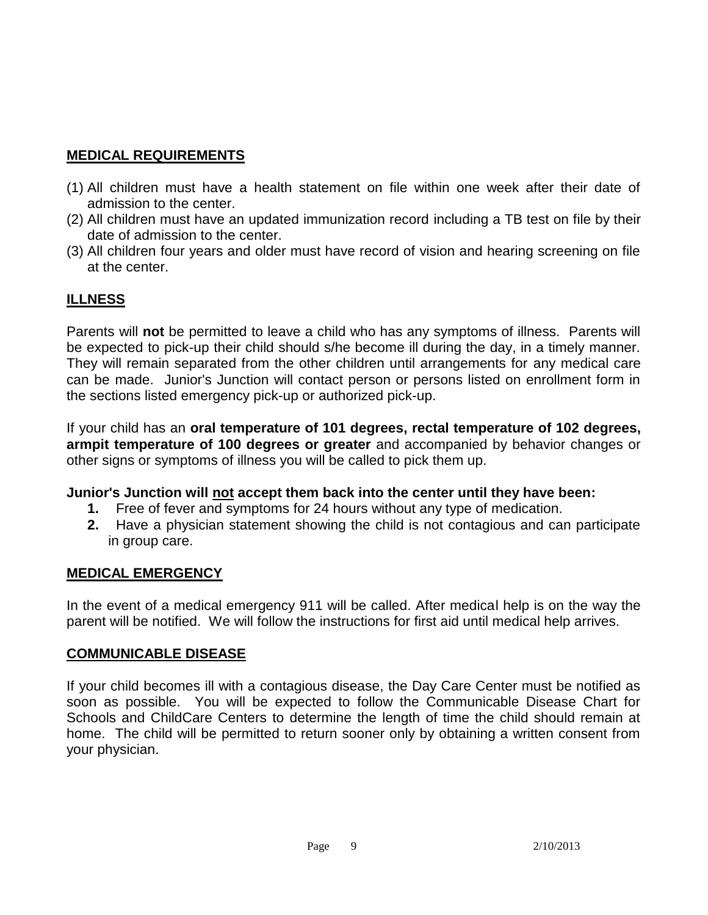## **MEDICAL REQUIREMENTS**

- (1) All children must have a health statement on file within one week after their date of admission to the center.
- (2) All children must have an updated immunization record including a TB test on file by their date of admission to the center.
- (3) All children four years and older must have record of vision and hearing screening on file at the center.

## **ILLNESS**

Parents will **not** be permitted to leave a child who has any symptoms of illness. Parents will be expected to pick-up their child should s/he become ill during the day, in a timely manner. They will remain separated from the other children until arrangements for any medical care can be made. Junior's Junction will contact person or persons listed on enrollment form in the sections listed emergency pick-up or authorized pick-up.

If your child has an **oral temperature of 101 degrees, rectal temperature of 102 degrees, armpit temperature of 100 degrees or greater** and accompanied by behavior changes or other signs or symptoms of illness you will be called to pick them up.

#### **Junior's Junction will not accept them back into the center until they have been:**

- **1.** Free of fever and symptoms for 24 hours without any type of medication.
- **2.** Have a physician statement showing the child is not contagious and can participate in group care.

#### **MEDICAL EMERGENCY**

In the event of a medical emergency 911 will be called. After medical help is on the way the parent will be notified. We will follow the instructions for first aid until medical help arrives.

#### **COMMUNICABLE DISEASE**

If your child becomes ill with a contagious disease, the Day Care Center must be notified as soon as possible. You will be expected to follow the Communicable Disease Chart for Schools and ChildCare Centers to determine the length of time the child should remain at home. The child will be permitted to return sooner only by obtaining a written consent from your physician.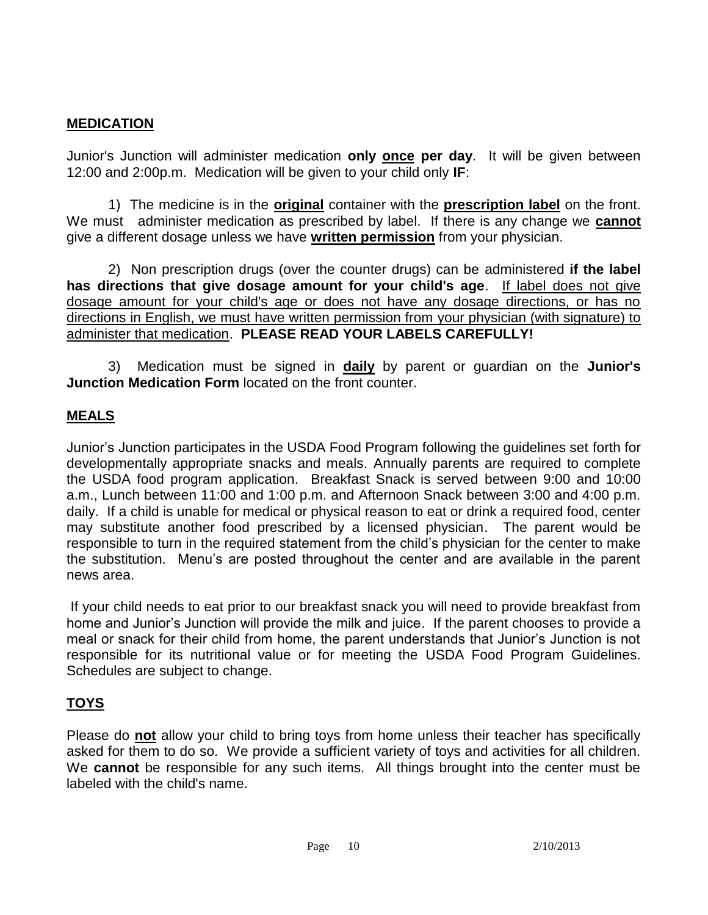#### **MEDICATION**

Junior's Junction will administer medication **only once per day**. It will be given between 12:00 and 2:00p.m. Medication will be given to your child only **IF**:

1) The medicine is in the **original** container with the **prescription label** on the front. We must administer medication as prescribed by label. If there is any change we **cannot** give a different dosage unless we have **written permission** from your physician.

2) Non prescription drugs (over the counter drugs) can be administered **if the label has directions that give dosage amount for your child's age**. If label does not give dosage amount for your child's age or does not have any dosage directions, or has no directions in English, we must have written permission from your physician (with signature) to administer that medication. **PLEASE READ YOUR LABELS CAREFULLY!**

3) Medication must be signed in **daily** by parent or guardian on the **Junior's Junction Medication Form** located on the front counter.

## **MEALS**

Junior's Junction participates in the USDA Food Program following the guidelines set forth for developmentally appropriate snacks and meals. Annually parents are required to complete the USDA food program application. Breakfast Snack is served between 9:00 and 10:00 a.m., Lunch between 11:00 and 1:00 p.m. and Afternoon Snack between 3:00 and 4:00 p.m. daily. If a child is unable for medical or physical reason to eat or drink a required food, center may substitute another food prescribed by a licensed physician. The parent would be responsible to turn in the required statement from the child's physician for the center to make the substitution. Menu's are posted throughout the center and are available in the parent news area.

If your child needs to eat prior to our breakfast snack you will need to provide breakfast from home and Junior's Junction will provide the milk and juice. If the parent chooses to provide a meal or snack for their child from home, the parent understands that Junior's Junction is not responsible for its nutritional value or for meeting the USDA Food Program Guidelines. Schedules are subject to change.

#### **TOYS**

Please do **not** allow your child to bring toys from home unless their teacher has specifically asked for them to do so. We provide a sufficient variety of toys and activities for all children. We **cannot** be responsible for any such items. All things brought into the center must be labeled with the child's name.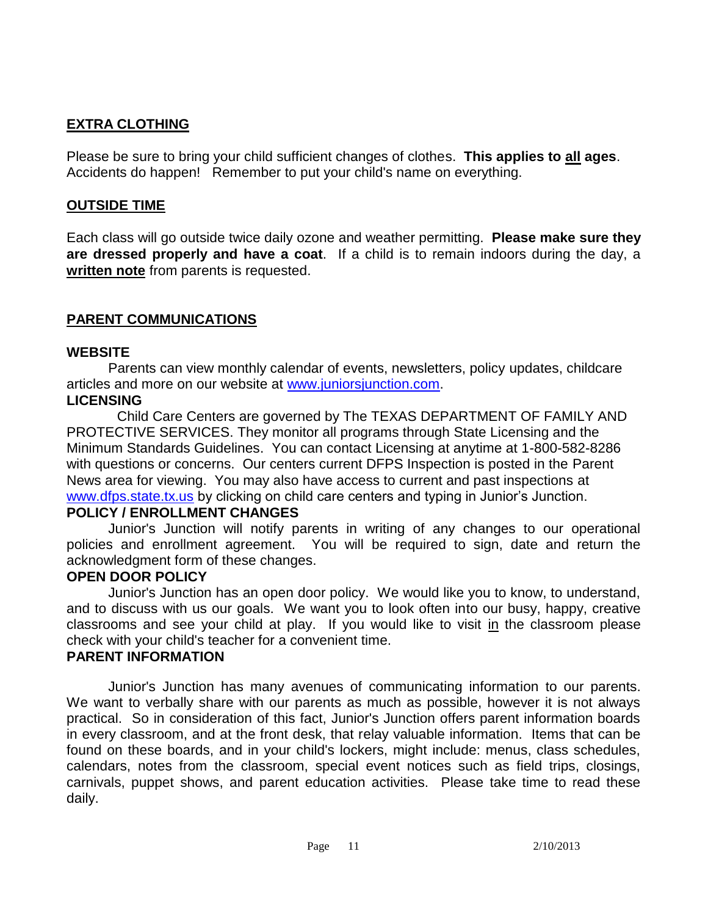#### **EXTRA CLOTHING**

Please be sure to bring your child sufficient changes of clothes. **This applies to all ages**. Accidents do happen! Remember to put your child's name on everything.

#### **OUTSIDE TIME**

Each class will go outside twice daily ozone and weather permitting. **Please make sure they are dressed properly and have a coat**. If a child is to remain indoors during the day, a **written note** from parents is requested.

#### **PARENT COMMUNICATIONS**

#### **WEBSITE**

Parents can view monthly calendar of events, newsletters, policy updates, childcare articles and more on our website at [www.juniorsjunction.com.](http://www.juniorsjunction.com/)

#### **LICENSING**

 Child Care Centers are governed by The TEXAS DEPARTMENT OF FAMILY AND PROTECTIVE SERVICES. They monitor all programs through State Licensing and the Minimum Standards Guidelines. You can contact Licensing at anytime at 1-800-582-8286 with questions or concerns. Our centers current DFPS Inspection is posted in the Parent News area for viewing. You may also have access to current and past inspections at [www.dfps.state.tx.us](http://www.dfps.state.tx.us/) by clicking on child care centers and typing in Junior's Junction.

#### **POLICY / ENROLLMENT CHANGES**

Junior's Junction will notify parents in writing of any changes to our operational policies and enrollment agreement. You will be required to sign, date and return the acknowledgment form of these changes.

#### **OPEN DOOR POLICY**

Junior's Junction has an open door policy. We would like you to know, to understand, and to discuss with us our goals. We want you to look often into our busy, happy, creative classrooms and see your child at play. If you would like to visit in the classroom please check with your child's teacher for a convenient time.

#### **PARENT INFORMATION**

Junior's Junction has many avenues of communicating information to our parents. We want to verbally share with our parents as much as possible, however it is not always practical. So in consideration of this fact, Junior's Junction offers parent information boards in every classroom, and at the front desk, that relay valuable information. Items that can be found on these boards, and in your child's lockers, might include: menus, class schedules, calendars, notes from the classroom, special event notices such as field trips, closings, carnivals, puppet shows, and parent education activities. Please take time to read these daily.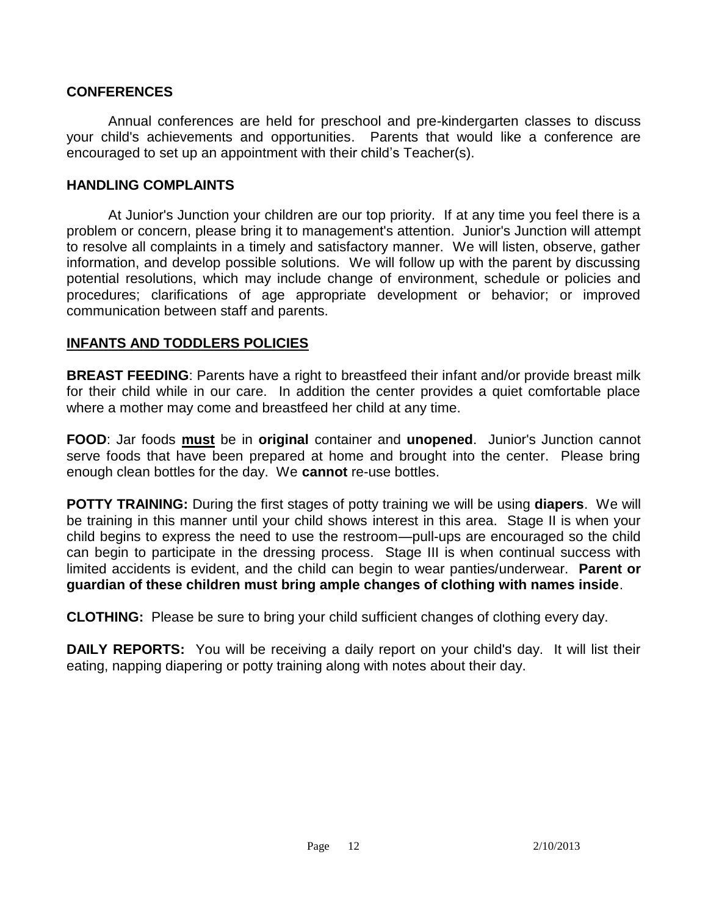#### **CONFERENCES**

Annual conferences are held for preschool and pre-kindergarten classes to discuss your child's achievements and opportunities. Parents that would like a conference are encouraged to set up an appointment with their child's Teacher(s).

#### **HANDLING COMPLAINTS**

At Junior's Junction your children are our top priority. If at any time you feel there is a problem or concern, please bring it to management's attention. Junior's Junction will attempt to resolve all complaints in a timely and satisfactory manner. We will listen, observe, gather information, and develop possible solutions. We will follow up with the parent by discussing potential resolutions, which may include change of environment, schedule or policies and procedures; clarifications of age appropriate development or behavior; or improved communication between staff and parents.

#### **INFANTS AND TODDLERS POLICIES**

**BREAST FEEDING**: Parents have a right to breastfeed their infant and/or provide breast milk for their child while in our care. In addition the center provides a quiet comfortable place where a mother may come and breastfeed her child at any time.

**FOOD**: Jar foods **must** be in **original** container and **unopened**. Junior's Junction cannot serve foods that have been prepared at home and brought into the center. Please bring enough clean bottles for the day. We **cannot** re-use bottles.

**POTTY TRAINING:** During the first stages of potty training we will be using **diapers**. We will be training in this manner until your child shows interest in this area. Stage II is when your child begins to express the need to use the restroom—pull-ups are encouraged so the child can begin to participate in the dressing process. Stage III is when continual success with limited accidents is evident, and the child can begin to wear panties/underwear. **Parent or guardian of these children must bring ample changes of clothing with names inside**.

**CLOTHING:** Please be sure to bring your child sufficient changes of clothing every day.

**DAILY REPORTS:** You will be receiving a daily report on your child's day. It will list their eating, napping diapering or potty training along with notes about their day.